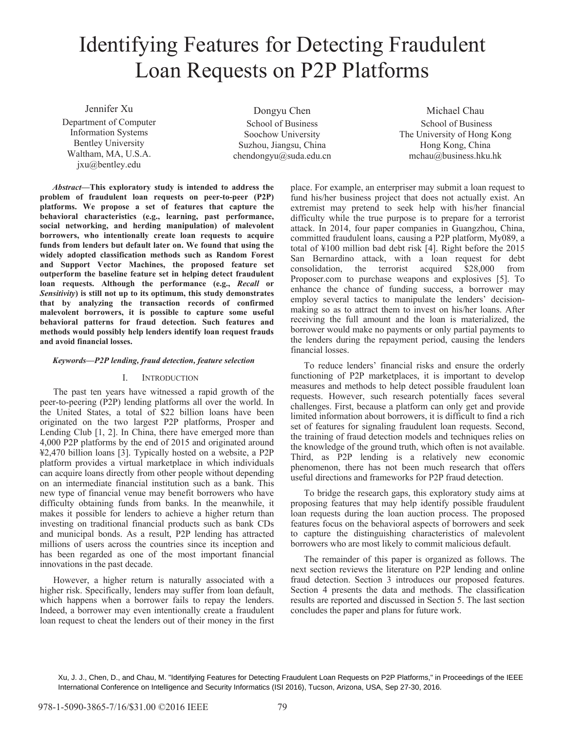# Identifying Features for Detecting Fraudulent Loan Requests on P2P Platforms

Jennifer Xu Department of Computer Information Systems Bentley University Waltham, MA, U.S.A. jxu@bentley.edu

Dongyu Chen School of Business Soochow University Suzhou, Jiangsu, China  $chendongyu@suda.edu.cn$ 

Michael Chau School of Business The University of Hong Kong Hong Kong, China mchau@business.hku.hk

*Abstract***—This exploratory study is intended to address the problem of fraudulent loan requests on peer-to-peer (P2P) platforms. We propose a set of features that capture the behavioral characteristics (e.g., learning, past performance, social networking, and herding manipulation) of malevolent borrowers, who intentionally create loan requests to acquire funds from lenders but default later on. We found that using the widely adopted classification methods such as Random Forest and Support Vector Machines, the proposed feature set outperform the baseline feature set in helping detect fraudulent loan requests. Although the performance (e.g.,** *Recall* **or**  *Sensitivity***) is still not up to its optimum, this study demonstrates that by analyzing the transaction records of confirmed malevolent borrowers, it is possible to capture some useful behavioral patterns for fraud detection. Such features and methods would possibly help lenders identify loan request frauds and avoid financial losses.** 

### *Keywords—P2P lending, fraud detection, feature selection*

#### I. INTRODUCTION

The past ten years have witnessed a rapid growth of the peer-to-peering (P2P) lending platforms all over the world. In the United States, a total of \$22 billion loans have been originated on the two largest P2P platforms, Prosper and Lending Club [1, 2]. In China, there have emerged more than 4,000 P2P platforms by the end of 2015 and originated around ¥2,470 billion loans [3]. Typically hosted on a website, a P2P platform provides a virtual marketplace in which individuals can acquire loans directly from other people without depending on an intermediate financial institution such as a bank. This new type of financial venue may benefit borrowers who have difficulty obtaining funds from banks. In the meanwhile, it makes it possible for lenders to achieve a higher return than investing on traditional financial products such as bank CDs and municipal bonds. As a result, P2P lending has attracted millions of users across the countries since its inception and has been regarded as one of the most important financial innovations in the past decade.

However, a higher return is naturally associated with a higher risk. Specifically, lenders may suffer from loan default, which happens when a borrower fails to repay the lenders. Indeed, a borrower may even intentionally create a fraudulent loan request to cheat the lenders out of their money in the first

place. For example, an enterpriser may submit a loan request to fund his/her business project that does not actually exist. An extremist may pretend to seek help with his/her financial difficulty while the true purpose is to prepare for a terrorist attack. In 2014, four paper companies in Guangzhou, China, committed fraudulent loans, causing a P2P platform, My089, a total of ¥100 million bad debt risk [4]. Right before the 2015 San Bernardino attack, with a loan request for debt consolidation, the terrorist acquired \$28,000 from Proposer.com to purchase weapons and explosives [5]. To enhance the chance of funding success, a borrower may employ several tactics to manipulate the lenders' decisionmaking so as to attract them to invest on his/her loans. After receiving the full amount and the loan is materialized, the borrower would make no payments or only partial payments to the lenders during the repayment period, causing the lenders financial losses.

To reduce lenders' financial risks and ensure the orderly functioning of P2P marketplaces, it is important to develop measures and methods to help detect possible fraudulent loan requests. However, such research potentially faces several challenges. First, because a platform can only get and provide limited information about borrowers, it is difficult to find a rich set of features for signaling fraudulent loan requests. Second, the training of fraud detection models and techniques relies on the knowledge of the ground truth, which often is not available. Third, as P2P lending is a relatively new economic phenomenon, there has not been much research that offers useful directions and frameworks for P2P fraud detection.

To bridge the research gaps, this exploratory study aims at proposing features that may help identify possible fraudulent loan requests during the loan auction process. The proposed features focus on the behavioral aspects of borrowers and seek to capture the distinguishing characteristics of malevolent borrowers who are most likely to commit malicious default.

The remainder of this paper is organized as follows. The next section reviews the literature on P2P lending and online fraud detection. Section 3 introduces our proposed features. Section 4 presents the data and methods. The classification results are reported and discussed in Section 5. The last section concludes the paper and plans for future work.

Xu, J. J., Chen, D., and Chau, M. "Identifying Features for Detecting Fraudulent Loan Requests on P2P Platforms," in Proceedings of the IEEE International Conference on Intelligence and Security Informatics (ISI 2016), Tucson, Arizona, USA, Sep 27-30, 2016.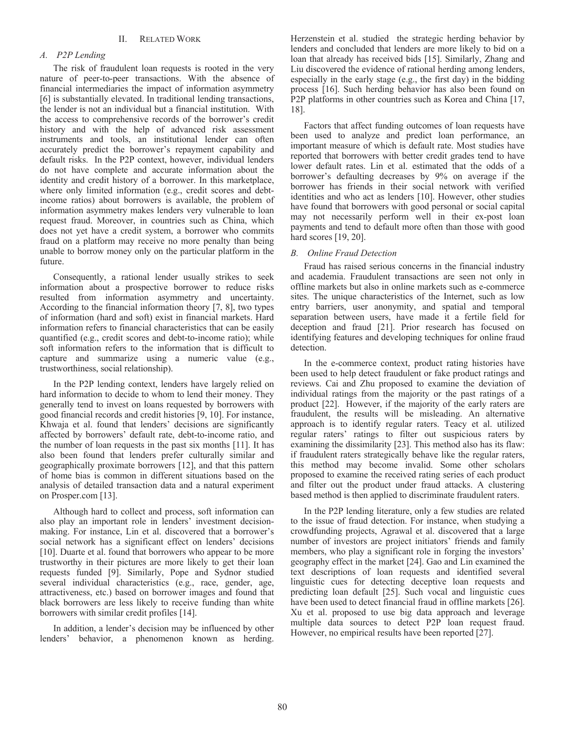# *A. P2P Lending*

The risk of fraudulent loan requests is rooted in the very nature of peer-to-peer transactions. With the absence of financial intermediaries the impact of information asymmetry [6] is substantially elevated. In traditional lending transactions, the lender is not an individual but a financial institution. With the access to comprehensive records of the borrower's credit history and with the help of advanced risk assessment instruments and tools, an institutional lender can often accurately predict the borrower's repayment capability and default risks. In the P2P context, however, individual lenders do not have complete and accurate information about the identity and credit history of a borrower. In this marketplace, where only limited information (e.g., credit scores and debtincome ratios) about borrowers is available, the problem of information asymmetry makes lenders very vulnerable to loan request fraud. Moreover, in countries such as China, which does not yet have a credit system, a borrower who commits fraud on a platform may receive no more penalty than being unable to borrow money only on the particular platform in the future.

Consequently, a rational lender usually strikes to seek information about a prospective borrower to reduce risks resulted from information asymmetry and uncertainty. According to the financial information theory [7, 8], two types of information (hard and soft) exist in financial markets. Hard information refers to financial characteristics that can be easily quantified (e.g., credit scores and debt-to-income ratio); while soft information refers to the information that is difficult to capture and summarize using a numeric value (e.g., trustworthiness, social relationship).

In the P2P lending context, lenders have largely relied on hard information to decide to whom to lend their money. They generally tend to invest on loans requested by borrowers with good financial records and credit histories [9, 10]. For instance, Khwaja et al. found that lenders' decisions are significantly affected by borrowers' default rate, debt-to-income ratio, and the number of loan requests in the past six months [11]. It has also been found that lenders prefer culturally similar and geographically proximate borrowers [12], and that this pattern of home bias is common in different situations based on the analysis of detailed transaction data and a natural experiment on Prosper.com [13].

Although hard to collect and process, soft information can also play an important role in lenders' investment decisionmaking. For instance, Lin et al. discovered that a borrower's social network has a significant effect on lenders' decisions [10]. Duarte et al. found that borrowers who appear to be more trustworthy in their pictures are more likely to get their loan requests funded [9]. Similarly, Pope and Sydnor studied several individual characteristics (e.g., race, gender, age, attractiveness, etc.) based on borrower images and found that black borrowers are less likely to receive funding than white borrowers with similar credit profiles [14].

In addition, a lender's decision may be influenced by other lenders' behavior, a phenomenon known as herding.

Herzenstein et al. studied the strategic herding behavior by lenders and concluded that lenders are more likely to bid on a loan that already has received bids [15]. Similarly, Zhang and Liu discovered the evidence of rational herding among lenders, especially in the early stage (e.g., the first day) in the bidding process [16]. Such herding behavior has also been found on P2P platforms in other countries such as Korea and China [17, 18].

Factors that affect funding outcomes of loan requests have been used to analyze and predict loan performance, an important measure of which is default rate. Most studies have reported that borrowers with better credit grades tend to have lower default rates. Lin et al. estimated that the odds of a borrower's defaulting decreases by 9% on average if the borrower has friends in their social network with verified identities and who act as lenders [10]. However, other studies have found that borrowers with good personal or social capital may not necessarily perform well in their ex-post loan payments and tend to default more often than those with good hard scores [19, 20].

# *B. Online Fraud Detection*

Fraud has raised serious concerns in the financial industry and academia. Fraudulent transactions are seen not only in offline markets but also in online markets such as e-commerce sites. The unique characteristics of the Internet, such as low entry barriers, user anonymity, and spatial and temporal separation between users, have made it a fertile field for deception and fraud [21]. Prior research has focused on identifying features and developing techniques for online fraud detection.

In the e-commerce context, product rating histories have been used to help detect fraudulent or fake product ratings and reviews. Cai and Zhu proposed to examine the deviation of individual ratings from the majority or the past ratings of a product [22]. However, if the majority of the early raters are fraudulent, the results will be misleading. An alternative approach is to identify regular raters. Teacy et al. utilized regular raters' ratings to filter out suspicious raters by examining the dissimilarity [23]. This method also has its flaw: if fraudulent raters strategically behave like the regular raters, this method may become invalid. Some other scholars proposed to examine the received rating series of each product and filter out the product under fraud attacks. A clustering based method is then applied to discriminate fraudulent raters.

In the P2P lending literature, only a few studies are related to the issue of fraud detection. For instance, when studying a crowdfunding projects, Agrawal et al. discovered that a large number of investors are project initiators' friends and family members, who play a significant role in forging the investors' geography effect in the market [24]. Gao and Lin examined the text descriptions of loan requests and identified several linguistic cues for detecting deceptive loan requests and predicting loan default [25]. Such vocal and linguistic cues have been used to detect financial fraud in offline markets [26]. Xu et al. proposed to use big data approach and leverage multiple data sources to detect P2P loan request fraud. However, no empirical results have been reported [27].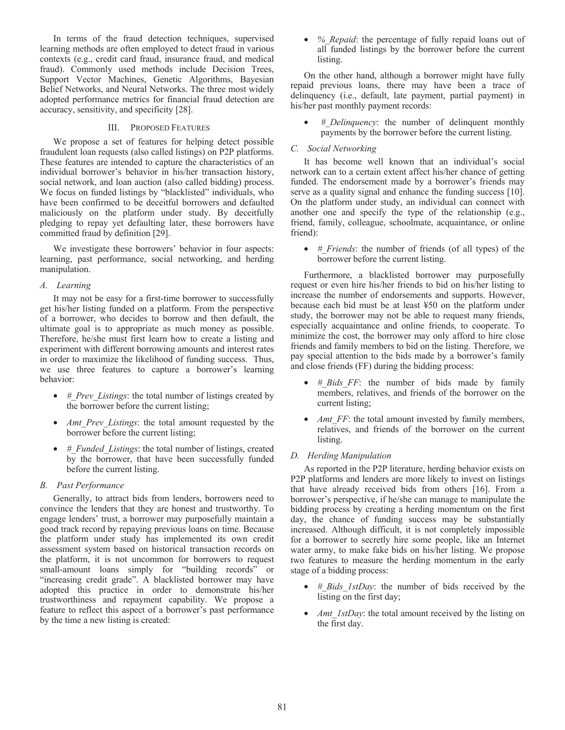In terms of the fraud detection techniques, supervised learning methods are often employed to detect fraud in various contexts (e.g., credit card fraud, insurance fraud, and medical fraud). Commonly used methods include Decision Trees, Support Vector Machines, Genetic Algorithms, Bayesian Belief Networks, and Neural Networks. The three most widely adopted performance metrics for financial fraud detection are accuracy, sensitivity, and specificity [28].

# III. PROPOSED FEATURES

We propose a set of features for helping detect possible fraudulent loan requests (also called listings) on P2P platforms. These features are intended to capture the characteristics of an individual borrower's behavior in his/her transaction history, social network, and loan auction (also called bidding) process. We focus on funded listings by "blacklisted" individuals, who have been confirmed to be deceitful borrowers and defaulted maliciously on the platform under study. By deceitfully pledging to repay yet defaulting later, these borrowers have committed fraud by definition [29].

We investigate these borrowers' behavior in four aspects: learning, past performance, social networking, and herding manipulation.

# *A. Learning*

It may not be easy for a first-time borrower to successfully get his/her listing funded on a platform. From the perspective of a borrower, who decides to borrow and then default, the ultimate goal is to appropriate as much money as possible. Therefore, he/she must first learn how to create a listing and experiment with different borrowing amounts and interest rates in order to maximize the likelihood of funding success. Thus, we use three features to capture a borrower's learning behavior:

- *# Prev Listings*: the total number of listings created by the borrower before the current listing;
- *Amt Prev Listings*: the total amount requested by the borrower before the current listing;
- *# Funded Listings*: the total number of listings, created by the borrower, that have been successfully funded before the current listing.

# *B. Past Performance*

Generally, to attract bids from lenders, borrowers need to convince the lenders that they are honest and trustworthy. To engage lenders' trust, a borrower may purposefully maintain a good track record by repaying previous loans on time. Because the platform under study has implemented its own credit assessment system based on historical transaction records on the platform, it is not uncommon for borrowers to request small-amount loans simply for "building records" or "increasing credit grade". A blacklisted borrower may have adopted this practice in order to demonstrate his/her trustworthiness and repayment capability. We propose a feature to reflect this aspect of a borrower's past performance by the time a new listing is created:

• *% Repaid*: the percentage of fully repaid loans out of all funded listings by the borrower before the current listing.

On the other hand, although a borrower might have fully repaid previous loans, there may have been a trace of delinquency (i.e., default, late payment, partial payment) in his/her past monthly payment records:

• *#\_Delinquency*: the number of delinquent monthly payments by the borrower before the current listing.

## *C. Social Networking*

It has become well known that an individual's social network can to a certain extent affect his/her chance of getting funded. The endorsement made by a borrower's friends may serve as a quality signal and enhance the funding success [10]. On the platform under study, an individual can connect with another one and specify the type of the relationship (e.g., friend, family, colleague, schoolmate, acquaintance, or online friend):

• *#\_Friends*: the number of friends (of all types) of the borrower before the current listing.

Furthermore, a blacklisted borrower may purposefully request or even hire his/her friends to bid on his/her listing to increase the number of endorsements and supports. However, because each bid must be at least ¥50 on the platform under study, the borrower may not be able to request many friends, especially acquaintance and online friends, to cooperate. To minimize the cost, the borrower may only afford to hire close friends and family members to bid on the listing. Therefore, we pay special attention to the bids made by a borrower's family and close friends (FF) during the bidding process:

- *# Bids FF*: the number of bids made by family members, relatives, and friends of the borrower on the current listing;
- *Amt FF*: the total amount invested by family members, relatives, and friends of the borrower on the current listing.

# *D. Herding Manipulation*

As reported in the P2P literature, herding behavior exists on P2P platforms and lenders are more likely to invest on listings that have already received bids from others [16]. From a borrower's perspective, if he/she can manage to manipulate the bidding process by creating a herding momentum on the first day, the chance of funding success may be substantially increased. Although difficult, it is not completely impossible for a borrower to secretly hire some people, like an Internet water army, to make fake bids on his/her listing. We propose two features to measure the herding momentum in the early stage of a bidding process:

- *# Bids 1stDay*: the number of bids received by the listing on the first day;
- *Amt\_1stDay*: the total amount received by the listing on the first day.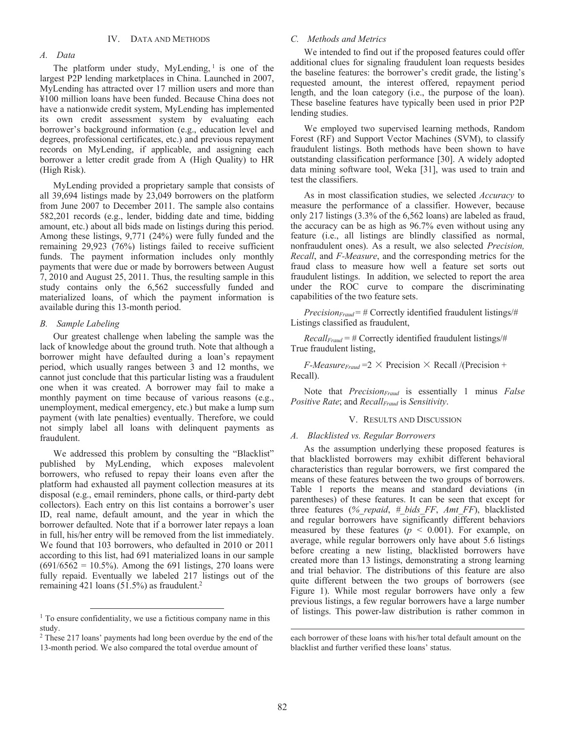## *A. Data*

The platform under study,  $MyLending$ ,  $1$  is one of the largest P2P lending marketplaces in China. Launched in 2007, MyLending has attracted over 17 million users and more than ¥100 million loans have been funded. Because China does not have a nationwide credit system, MyLending has implemented its own credit assessment system by evaluating each borrower's background information (e.g., education level and degrees, professional certificates, etc.) and previous repayment records on MyLending, if applicable, and assigning each borrower a letter credit grade from A (High Quality) to HR (High Risk).

MyLending provided a proprietary sample that consists of all 39,694 listings made by 23,049 borrowers on the platform from June 2007 to December 2011. The sample also contains 582,201 records (e.g., lender, bidding date and time, bidding amount, etc.) about all bids made on listings during this period. Among these listings, 9,771 (24%) were fully funded and the remaining 29,923 (76%) listings failed to receive sufficient funds. The payment information includes only monthly payments that were due or made by borrowers between August 7, 2010 and August 25, 2011. Thus, the resulting sample in this study contains only the 6,562 successfully funded and materialized loans, of which the payment information is available during this 13-month period.

## *B. Sample Labeling*

Our greatest challenge when labeling the sample was the lack of knowledge about the ground truth. Note that although a borrower might have defaulted during a loan's repayment period, which usually ranges between 3 and 12 months, we cannot just conclude that this particular listing was a fraudulent one when it was created. A borrower may fail to make a monthly payment on time because of various reasons (e.g., unemployment, medical emergency, etc.) but make a lump sum payment (with late penalties) eventually. Therefore, we could not simply label all loans with delinquent payments as fraudulent.

We addressed this problem by consulting the "Blacklist" published by MyLending, which exposes malevolent borrowers, who refused to repay their loans even after the platform had exhausted all payment collection measures at its disposal (e.g., email reminders, phone calls, or third-party debt collectors). Each entry on this list contains a borrower's user ID, real name, default amount, and the year in which the borrower defaulted. Note that if a borrower later repays a loan in full, his/her entry will be removed from the list immediately. We found that 103 borrowers, who defaulted in 2010 or 2011 according to this list, had 691 materialized loans in our sample  $(691/6562 = 10.5\%)$ . Among the 691 listings, 270 loans were fully repaid. Eventually we labeled 217 listings out of the remaining 421 loans  $(51.5\%)$  as fraudulent.<sup>2</sup>

## *C. Methods and Metrics*

We intended to find out if the proposed features could offer additional clues for signaling fraudulent loan requests besides the baseline features: the borrower's credit grade, the listing's requested amount, the interest offered, repayment period length, and the loan category (i.e., the purpose of the loan). These baseline features have typically been used in prior P2P lending studies.

We employed two supervised learning methods, Random Forest (RF) and Support Vector Machines (SVM), to classify fraudulent listings. Both methods have been shown to have outstanding classification performance [30]. A widely adopted data mining software tool, Weka [31], was used to train and test the classifiers.

As in most classification studies, we selected *Accuracy* to measure the performance of a classifier. However, because only 217 listings (3.3% of the 6,562 loans) are labeled as fraud, the accuracy can be as high as 96.7% even without using any feature (i.e., all listings are blindly classified as normal, nonfraudulent ones). As a result, we also selected *Precision, Recall*, and *F-Measure*, and the corresponding metrics for the fraud class to measure how well a feature set sorts out fraudulent listings. In addition, we selected to report the area under the ROC curve to compare the discriminating capabilities of the two feature sets.

*PrecisionFraud* = # Correctly identified fraudulent listings/# Listings classified as fraudulent,

*RecallFraud* = # Correctly identified fraudulent listings/# True fraudulent listing,

*F-Measure<sub>Fraud</sub>* =  $2 \times$  Precision  $\times$  Recall /(Precision + Recall).

Note that *Precision<sub>Fraud</sub>* is essentially 1 minus *False Positive Rate*; and *Recall<sub>Fraud</sub>* is *Sensitivity*.

#### V. RESULTS AND DISCUSSION

## *A. Blacklisted vs. Regular Borrowers*

As the assumption underlying these proposed features is that blacklisted borrowers may exhibit different behavioral characteristics than regular borrowers, we first compared the means of these features between the two groups of borrowers. Table 1 reports the means and standard deviations (in parentheses) of these features. It can be seen that except for three features (*%\_repaid*, *#\_bids\_FF*, *Amt\_FF*), blacklisted and regular borrowers have significantly different behaviors measured by these features  $(p < 0.001)$ . For example, on average, while regular borrowers only have about 5.6 listings before creating a new listing, blacklisted borrowers have created more than 13 listings, demonstrating a strong learning and trial behavior. The distributions of this feature are also quite different between the two groups of borrowers (see Figure 1). While most regular borrowers have only a few previous listings, a few regular borrowers have a large number of listings. This power-law distribution is rather common in

 $\overline{a}$ 

 $<sup>1</sup>$  To ensure confidentiality, we use a fictitious company name in this</sup> study.

<sup>2</sup> These 217 loans' payments had long been overdue by the end of the 13-month period. We also compared the total overdue amount of

each borrower of these loans with his/her total default amount on the blacklist and further verified these loans' status.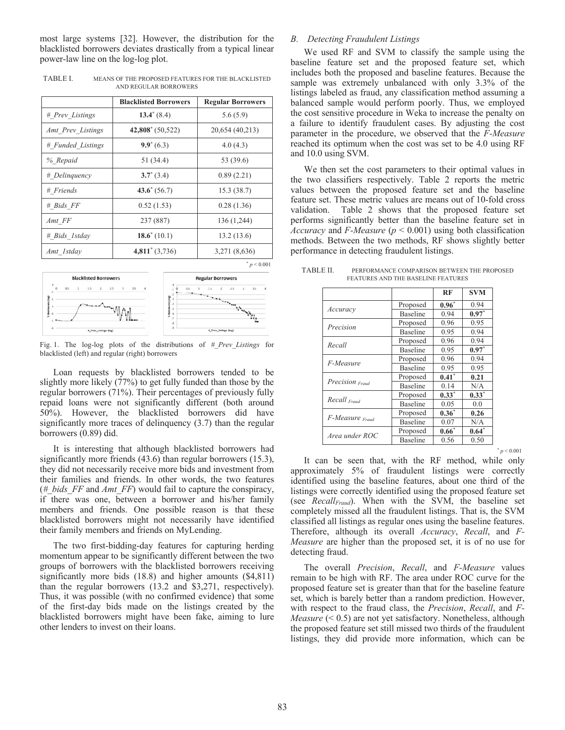most large systems [32]. However, the distribution for the blacklisted borrowers deviates drastically from a typical linear power-law line on the log-log plot.

TABLE I. MEANS OF THE PROPOSED FEATURES FOR THE BLACKLISTED AND REGULAR BORROWERS

|                   | <b>Blacklisted Borrowers</b> | <b>Regular Borrowers</b> |  |
|-------------------|------------------------------|--------------------------|--|
| # Prev Listings   | $13.4^{\circ}$ (8.4)         | 5.6(5.9)                 |  |
| Amt Prev Listings | $42,808^*$ (50,522)          | 20,654 (40,213)          |  |
| # Funded Listings | $9.9^*(6.3)$                 | 4.0(4.3)                 |  |
| % Repaid          | 51 (34.4)                    | 53 (39.6)                |  |
| # Delinquency     | $3.7^*(3.4)$                 | 0.89(2.21)               |  |
| # Friends         | $43.6^{\circ} (56.7)$        | 15.3(38.7)               |  |
| $# Bids_FF$       | 0.52(1.53)                   | 0.28(1.36)               |  |
| Amt FF            | 237 (887)                    | 136 (1,244)              |  |
| # Bids 1stday     | $18.6^*(10.1)$               | 13.2(13.6)               |  |
| Amt Istday        | $4,811'$ (3,736)             | 3,271 (8,636)            |  |



Fig. 1. The log-log plots of the distributions of *#\_Prev\_Listings* for blacklisted (left) and regular (right) borrowers

Loan requests by blacklisted borrowers tended to be slightly more likely (77%) to get fully funded than those by the regular borrowers (71%). Their percentages of previously fully repaid loans were not significantly different (both around 50%). However, the blacklisted borrowers did have significantly more traces of delinquency  $(3.7)$  than the regular borrowers (0.89) did.

It is interesting that although blacklisted borrowers had significantly more friends (43.6) than regular borrowers (15.3), they did not necessarily receive more bids and investment from their families and friends. In other words, the two features (*#\_bids\_FF* and *Amt\_FF*) would fail to capture the conspiracy, if there was one, between a borrower and his/her family members and friends. One possible reason is that these blacklisted borrowers might not necessarily have identified their family members and friends on MyLending.

The two first-bidding-day features for capturing herding momentum appear to be significantly different between the two groups of borrowers with the blacklisted borrowers receiving significantly more bids (18.8) and higher amounts (\$4,811) than the regular borrowers (13.2 and \$3,271, respectively). Thus, it was possible (with no confirmed evidence) that some of the first-day bids made on the listings created by the blacklisted borrowers might have been fake, aiming to lure other lenders to invest on their loans.

# *B. Detecting Fraudulent Listings*

We used RF and SVM to classify the sample using the baseline feature set and the proposed feature set, which includes both the proposed and baseline features. Because the sample was extremely unbalanced with only 3.3% of the listings labeled as fraud, any classification method assuming a balanced sample would perform poorly. Thus, we employed the cost sensitive procedure in Weka to increase the penalty on a failure to identify fraudulent cases. By adjusting the cost parameter in the procedure, we observed that the *F-Measure* reached its optimum when the cost was set to be 4.0 using RF and 10.0 using SVM.

We then set the cost parameters to their optimal values in the two classifiers respectively. Table 2 reports the metric values between the proposed feature set and the baseline feature set. These metric values are means out of 10-fold cross validation. Table 2 shows that the proposed feature set performs significantly better than the baseline feature set in *Accuracy* and *F-Measure* (*p* < 0.001) using both classification methods. Between the two methods, RF shows slightly better performance in detecting fraudulent listings.

|                              |                 | RF       | <b>SVM</b> |
|------------------------------|-----------------|----------|------------|
|                              | Proposed        | $0.96*$  | 0.94       |
| Accuracy                     | <b>Baseline</b> | 0.94     | $0.97*$    |
| Precision                    | Proposed        | 0.96     | 0.95       |
|                              | <b>Baseline</b> | 0.95     | 0.94       |
| Recall                       | Proposed        | 0.96     | 0.94       |
|                              | <b>Baseline</b> | 0.95     | $0.97*$    |
| F-Measure                    | Proposed        | 0.96     | 0.94       |
|                              | <b>Baseline</b> | 0.95     | 0.95       |
| Precision Fraud              | Proposed        | $0.41*$  | 0.21       |
|                              | <b>Baseline</b> | 0.14     | N/A        |
| Recall <sub>Fraud</sub>      | Proposed        | $0.33*$  | $0.33^*$   |
|                              | <b>Baseline</b> | 0.05     | 0.0        |
| $F-Measure$ <sub>Fraud</sub> | Proposed        | $0.36^*$ | 0.26       |
|                              | <b>Baseline</b> | 0.07     | N/A        |
| Area under ROC               | Proposed        | $0.66*$  | $0.64^*$   |
|                              | <b>Baseline</b> | 0.56     | 0.50       |

TABLE II. PERFORMANCE COMPARISON BETWEEN THE PROPOSED FEATURES AND THE BASELINE FEATURES

 $*$   $p < 0.001$ 

It can be seen that, with the RF method, while only approximately 5% of fraudulent listings were correctly identified using the baseline features, about one third of the listings were correctly identified using the proposed feature set (see *RecallFraud*). When with the SVM, the baseline set completely missed all the fraudulent listings. That is, the SVM classified all listings as regular ones using the baseline features. Therefore, although its overall *Accuracy*, *Recall*, and *F-Measure* are higher than the proposed set, it is of no use for detecting fraud.

The overall *Precision*, *Recall*, and *F-Measure* values remain to be high with RF. The area under ROC curve for the proposed feature set is greater than that for the baseline feature set, which is barely better than a random prediction. However, with respect to the fraud class, the *Precision*, *Recall*, and *F-Measure* (< 0.5) are not yet satisfactory. Nonetheless, although the proposed feature set still missed two thirds of the fraudulent listings, they did provide more information, which can be